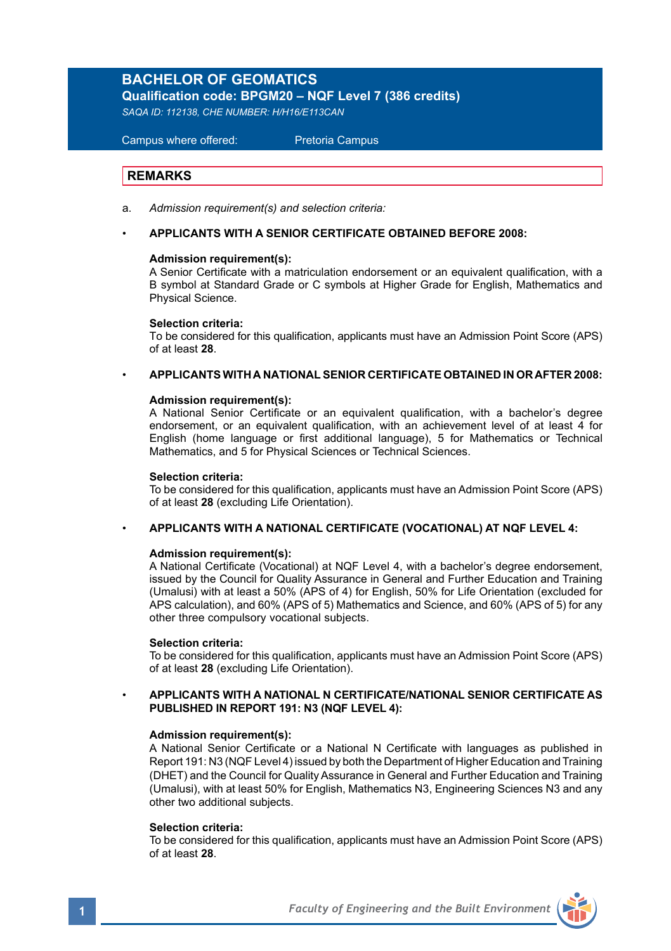# **BACHELOR OF GEOMATICS**

**Qualification code: BPGM20 – NQF Level 7 (386 credits)**

*SAQA ID: 112138, CHE NUMBER: H/H16/E113CAN* 

 Campus where offered: Pretoria Campus

# **REMARKS**

a. *Admission requirement(s) and selection criteria:*

### • **APPLICANTS WITH A SENIOR CERTIFICATE OBTAINED BEFORE 2008:**

### **Admission requirement(s):**

A Senior Certificate with a matriculation endorsement or an equivalent qualification, with a B symbol at Standard Grade or C symbols at Higher Grade for English, Mathematics and Physical Science.

#### **Selection criteria:**

To be considered for this qualification, applicants must have an Admission Point Score (APS) of at least **28**.

• **APPLICANTS WITH A NATIONAL SENIOR CERTIFICATE OBTAINED IN OR AFTER 2008:**

#### **Admission requirement(s):**

A National Senior Certificate or an equivalent qualification, with a bachelor's degree endorsement, or an equivalent qualification, with an achievement level of at least 4 for English (home language or first additional language), 5 for Mathematics or Technical Mathematics, and 5 for Physical Sciences or Technical Sciences.

#### **Selection criteria:**

To be considered for this qualification, applicants must have an Admission Point Score (APS) of at least **28** (excluding Life Orientation).

#### • **APPLICANTS WITH A NATIONAL CERTIFICATE (VOCATIONAL) AT NQF LEVEL 4:**

#### **Admission requirement(s):**

A National Certificate (Vocational) at NQF Level 4, with a bachelor's degree endorsement, issued by the Council for Quality Assurance in General and Further Education and Training (Umalusi) with at least a 50% (APS of 4) for English, 50% for Life Orientation (excluded for APS calculation), and 60% (APS of 5) Mathematics and Science, and 60% (APS of 5) for any other three compulsory vocational subjects.

#### **Selection criteria:**

To be considered for this qualification, applicants must have an Admission Point Score (APS) of at least **28** (excluding Life Orientation).

• **APPLICANTS WITH A NATIONAL N CERTIFICATE/NATIONAL SENIOR CERTIFICATE AS PUBLISHED IN REPORT 191: N3 (NQF LEVEL 4):**

#### **Admission requirement(s):**

A National Senior Certificate or a National N Certificate with languages as published in Report 191: N3 (NQF Level 4) issued by both the Department of Higher Education and Training (DHET) and the Council for Quality Assurance in General and Further Education and Training (Umalusi), with at least 50% for English, Mathematics N3, Engineering Sciences N3 and any other two additional subjects.

#### **Selection criteria:**

To be considered for this qualification, applicants must have an Admission Point Score (APS) of at least **28**.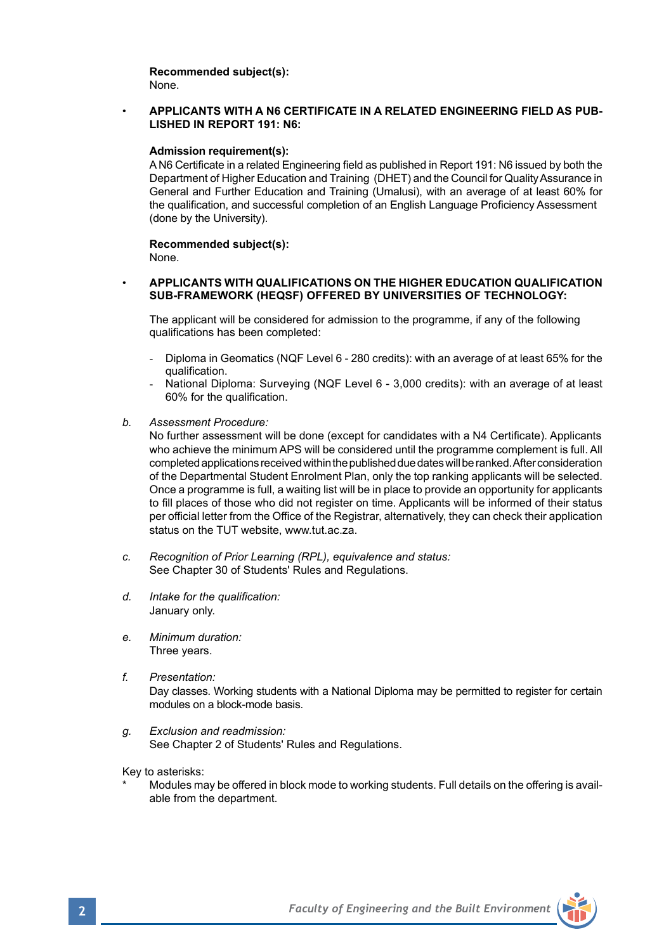**Recommended subject(s):** None.

#### • **APPLICANTS WITH A N6 CERTIFICATE IN A RELATED ENGINEERING FIELD AS PUB-LISHED IN REPORT 191: N6:**

#### **Admission requirement(s):**

A N6 Certificate in a related Engineering field as published in Report 191: N6 issued by both the Department of Higher Education and Training (DHET) and the Council for Quality Assurance in General and Further Education and Training (Umalusi), with an average of at least 60% for the qualification, and successful completion of an English Language Proficiency Assessment (done by the University).

#### **Recommended subject(s):** None.

#### • **APPLICANTS WITH QUALIFICATIONS ON THE HIGHER EDUCATION QUALIFICATION SUB-FRAMEWORK (HEQSF) OFFERED BY UNIVERSITIES OF TECHNOLOGY:**

The applicant will be considered for admission to the programme, if any of the following qualifications has been completed:

- Diploma in Geomatics (NQF Level 6 280 credits): with an average of at least 65% for the qualification.
- National Diploma: Surveying (NQF Level 6 3,000 credits): with an average of at least 60% for the qualification.
- *b. Assessment Procedure:*

No further assessment will be done (except for candidates with a N4 Certificate). Applicants who achieve the minimum APS will be considered until the programme complement is full. All completed applications received within the published due dates will be ranked. After consideration of the Departmental Student Enrolment Plan, only the top ranking applicants will be selected. Once a programme is full, a waiting list will be in place to provide an opportunity for applicants to fill places of those who did not register on time. Applicants will be informed of their status per official letter from the Office of the Registrar, alternatively, they can check their application status on the TUT website, www.tut.ac.za.

- *c. Recognition of Prior Learning (RPL), equivalence and status:* See Chapter 30 of Students' Rules and Regulations.
- *d. Intake for the qualification:* January only.
- *e. Minimum duration:* Three years.
- *f. Presentation:* Day classes. Working students with a National Diploma may be permitted to register for certain modules on a block-mode basis.
- *g. Exclusion and readmission:* See Chapter 2 of Students' Rules and Regulations.

Key to asterisks:

Modules may be offered in block mode to working students. Full details on the offering is available from the department.

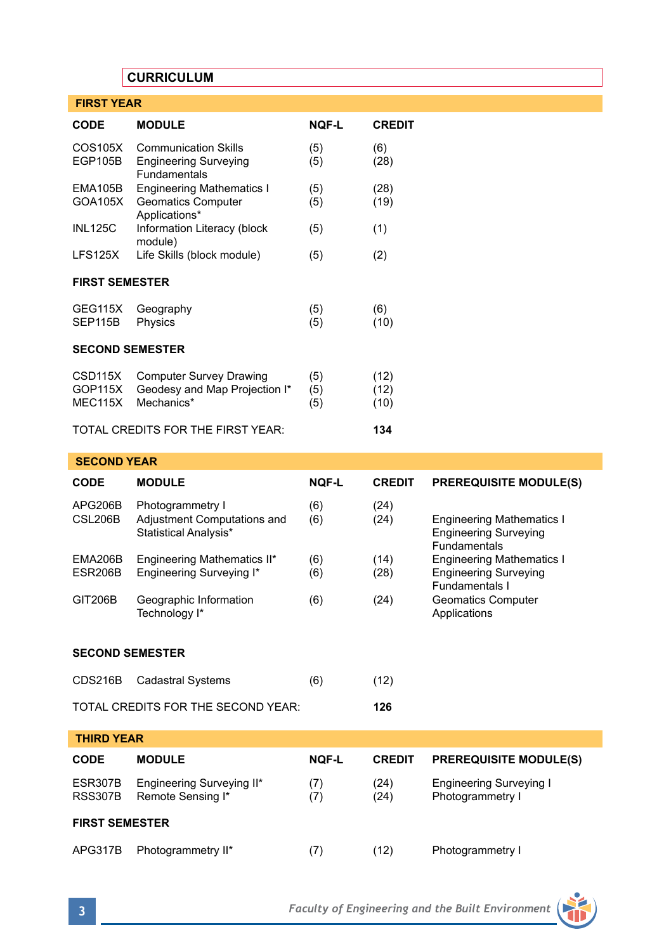# **CURRICULUM**

| <b>FIRST YEAR</b>                          |                                                                                    |                   |                      |
|--------------------------------------------|------------------------------------------------------------------------------------|-------------------|----------------------|
| <b>CODE</b>                                | <b>MODULE</b>                                                                      | <b>NOF-L</b>      | <b>CREDIT</b>        |
| COS105X<br><b>EGP105B</b>                  | <b>Communication Skills</b><br><b>Engineering Surveying</b><br><b>Fundamentals</b> | (5)<br>(5)        | (6)<br>(28)          |
| EMA105B<br>GOA105X                         | <b>Engineering Mathematics I</b><br><b>Geomatics Computer</b><br>Applications*     | (5)<br>(5)        | (28)<br>(19)         |
| <b>INL125C</b>                             | Information Literacy (block<br>module)                                             | (5)               | (1)                  |
| <b>LFS125X</b>                             | Life Skills (block module)                                                         | (5)               | (2)                  |
| <b>FIRST SEMESTER</b>                      |                                                                                    |                   |                      |
| <b>GEG115X</b><br>SEP115B                  | Geography<br>Physics                                                               | (5)<br>(5)        | (6)<br>(10)          |
| <b>SECOND SEMESTER</b>                     |                                                                                    |                   |                      |
| CSD <sub>115</sub> X<br>GOP115X<br>MEC115X | <b>Computer Survey Drawing</b><br>Geodesy and Map Projection I*<br>Mechanics*      | (5)<br>(5)<br>(5) | (12)<br>(12)<br>(10) |
| TOTAL CREDITS FOR THE FIRST YEAR:          |                                                                                    |                   | 134                  |

# **SECOND YEAR CODE MODULE NQF-L CREDIT PREREQUISITE MODULE(S)** APG206B Photogrammetry I (6) (24)<br>CSL206B Adjustment Computations and (6) (24) Adjustment Computations and (6) (24) Engineering Mathematics I<br>Statistical Analysis\* **Engineering Surveying Engineering Surveying Fundamentals**<br>**EMA206B** Engineering Mathematics II\* (6) (14) Engineering M EMA206B Engineering Mathematics II\* (6) (14) Engineering Mathematics I<br>ESR206B Engineering Surveying I\* (6) (28) Engineering Surveying Engineering Surveying I\* (6) (28) Fundamentals I<br>Geomatics Computer GIT206B Geographic Information (6) (24) Geomatics C<br>Technology I\* (24) Applications Technology I\* **SECOND SEMESTER** CDS216B Cadastral Systems (6) (12) TOTAL CREDITS FOR THE SECOND YEAR: **126 THIRD YEAR CODE MODULE NQF-L CREDIT PREREQUISITE MODULE(S)** ESR307B Engineering Surveying II\* (7) (24) Engineering Surveying I<br>RSS307B Remote Sensing I\* (7) (24) Photogrammetry I Remote Sensing I\* **FIRST SEMESTER** APG317B Photogrammetry II\* (7) (12) Photogrammetry I

**3** *Faculty of Engineering and the Built Environment*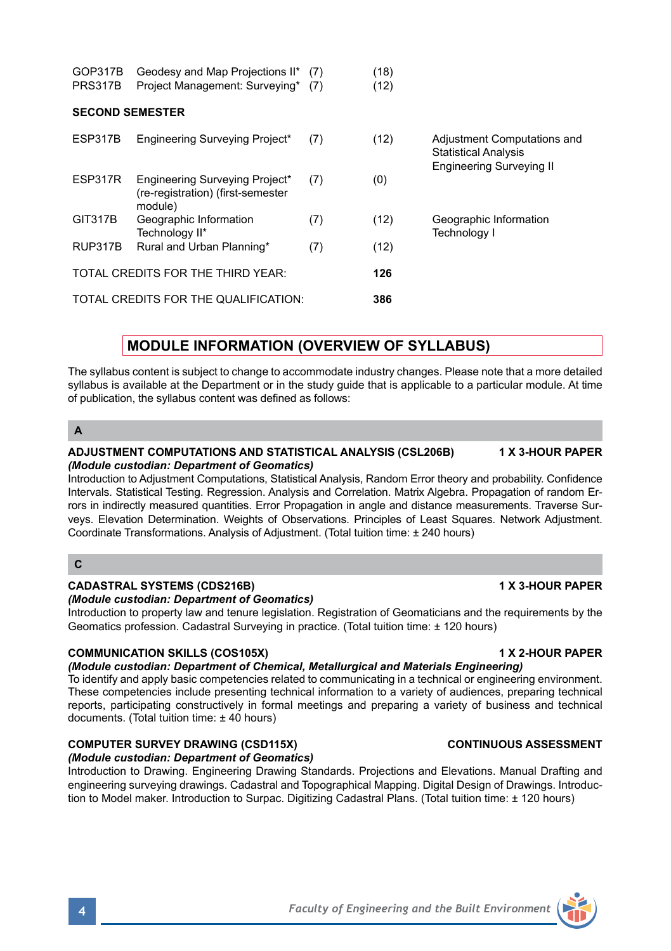Statistical Analysis Engineering Surveying II ESP317R Engineering Surveying Project\* (7) (0) (re-registration) (first-semester module) GIT317B Geographic Information (7) (12) Geographic Information Technology II\* Technology II\* RUP317B Rural and Urban Planning\* (7) (12) TOTAL CREDITS FOR THE THIRD YEAR: **126** TOTAL CREDITS FOR THE QUALIFICATION: **386**

ESP317B Engineering Surveying Project\* (7) (12) Adjustment Computations and

# **MODULE INFORMATION (OVERVIEW OF SYLLABUS)**

The syllabus content is subject to change to accommodate industry changes. Please note that a more detailed syllabus is available at the Department or in the study quide that is applicable to a particular module. At time of publication, the syllabus content was defined as follows:

# **A**

#### **ADJUSTMENT COMPUTATIONS AND STATISTICAL ANALYSIS (CSL206B) 1 X 3-HOUR PAPER** *(Module custodian: Department of Geomatics)*

GOP317B Geodesy and Map Projections II\* (7) (18) PRS317B Project Management: Surveying\* (7) (12)

**SECOND SEMESTER**

Introduction to Adjustment Computations, Statistical Analysis, Random Error theory and probability. Confidence Intervals. Statistical Testing. Regression. Analysis and Correlation. Matrix Algebra. Propagation of random Errors in indirectly measured quantities. Error Propagation in angle and distance measurements. Traverse Surveys. Elevation Determination. Weights of Observations. Principles of Least Squares. Network Adjustment. Coordinate Transformations. Analysis of Adjustment. (Total tuition time: ± 240 hours)

# **C**

### **CADASTRAL SYSTEMS (CDS216B) 1 X 3-HOUR PAPER**

### *(Module custodian: Department of Geomatics)*

Introduction to property law and tenure legislation. Registration of Geomaticians and the requirements by the Geomatics profession. Cadastral Surveying in practice. (Total tuition time: ± 120 hours)

# **COMMUNICATION SKILLS (COS105X) 1 X 2-HOUR PAPER**

*(Module custodian: Department of Chemical, Metallurgical and Materials Engineering)* To identify and apply basic competencies related to communicating in a technical or engineering environment. These competencies include presenting technical information to a variety of audiences, preparing technical reports, participating constructively in formal meetings and preparing a variety of business and technical documents. (Total tuition time: ± 40 hours)

# **COMPUTER SURVEY DRAWING (CSD115X) CONTINUOUS ASSESSMENT**

### *(Module custodian: Department of Geomatics)*

Introduction to Drawing. Engineering Drawing Standards. Projections and Elevations. Manual Drafting and engineering surveying drawings. Cadastral and Topographical Mapping. Digital Design of Drawings. Introduction to Model maker. Introduction to Surpac. Digitizing Cadastral Plans. (Total tuition time: ± 120 hours)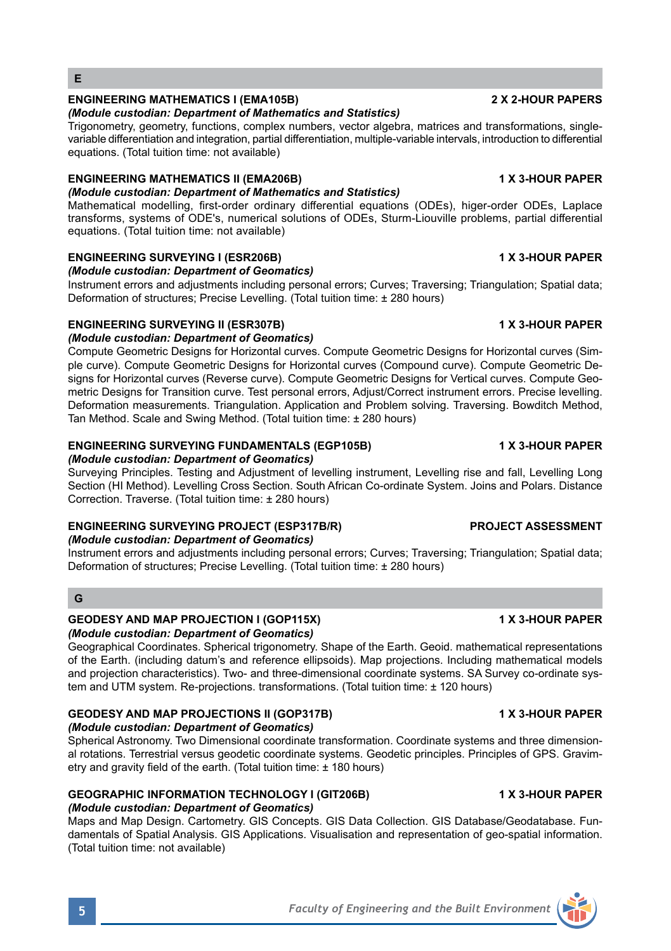# **E**

# **ENGINEERING MATHEMATICS I (EMA105B) 2 X 2-HOUR PAPERS**

### *(Module custodian: Department of Mathematics and Statistics)*

Trigonometry, geometry, functions, complex numbers, vector algebra, matrices and transformations, singlevariable differentiation and integration, partial differentiation, multiple-variable intervals, introduction to differential equations. (Total tuition time: not available)

#### **ENGINEERING MATHEMATICS II (EMA206B) 1 X 3-HOUR PAPER** *(Module custodian: Department of Mathematics and Statistics)*

Mathematical modelling, first-order ordinary differential equations (ODEs), higer-order ODEs, Laplace transforms, systems of ODE's, numerical solutions of ODEs, Sturm-Liouville problems, partial differential equations. (Total tuition time: not available)

# **ENGINEERING SURVEYING I (ESR206B) 1 X 3-HOUR PAPER**

*(Module custodian: Department of Geomatics)*

Instrument errors and adjustments including personal errors; Curves; Traversing; Triangulation; Spatial data; Deformation of structures; Precise Levelling. (Total tuition time: ± 280 hours)

# **ENGINEERING SURVEYING II (ESR307B) 1 X 3-HOUR PAPER**

## *(Module custodian: Department of Geomatics)*

Compute Geometric Designs for Horizontal curves. Compute Geometric Designs for Horizontal curves (Simple curve). Compute Geometric Designs for Horizontal curves (Compound curve). Compute Geometric Designs for Horizontal curves (Reverse curve). Compute Geometric Designs for Vertical curves. Compute Geometric Designs for Transition curve. Test personal errors, Adjust/Correct instrument errors. Precise levelling. Deformation measurements. Triangulation. Application and Problem solving. Traversing. Bowditch Method, Tan Method. Scale and Swing Method. (Total tuition time: ± 280 hours)

## **ENGINEERING SURVEYING FUNDAMENTALS (EGP105B) 1 X 3-HOUR PAPER**

### *(Module custodian: Department of Geomatics)*

Surveying Principles. Testing and Adjustment of levelling instrument, Levelling rise and fall, Levelling Long Section (HI Method). Levelling Cross Section. South African Co-ordinate System. Joins and Polars. Distance Correction. Traverse. (Total tuition time: ± 280 hours)

# **ENGINEERING SURVEYING PROJECT (ESP317B/R) PROJECT ASSESSMENT**

# *(Module custodian: Department of Geomatics)*

Instrument errors and adjustments including personal errors; Curves; Traversing; Triangulation; Spatial data; Deformation of structures; Precise Levelling. (Total tuition time: ± 280 hours)

# **G**

#### **GEODESY AND MAP PROJECTION I (GOP115X) 1 X 3-HOUR PAPER**  *(Module custodian: Department of Geomatics)*

Geographical Coordinates. Spherical trigonometry. Shape of the Earth. Geoid. mathematical representations of the Earth. (including datum's and reference ellipsoids). Map projections. Including mathematical models and projection characteristics). Two- and three-dimensional coordinate systems. SA Survey co-ordinate system and UTM system. Re-projections. transformations. (Total tuition time: ± 120 hours)

#### **GEODESY AND MAP PROJECTIONS II (GOP317B) 1 X 3-HOUR PAPER**  *(Module custodian: Department of Geomatics)*

Spherical Astronomy. Two Dimensional coordinate transformation. Coordinate systems and three dimensional rotations. Terrestrial versus geodetic coordinate systems. Geodetic principles. Principles of GPS. Gravimetry and gravity field of the earth. (Total tuition time: ± 180 hours)

#### **GEOGRAPHIC INFORMATION TECHNOLOGY I (GIT206B) 1 X 3-HOUR PAPER**  *(Module custodian: Department of Geomatics)*

Maps and Map Design. Cartometry. GIS Concepts. GIS Data Collection. GIS Database/Geodatabase. Fundamentals of Spatial Analysis. GIS Applications. Visualisation and representation of geo-spatial information. (Total tuition time: not available)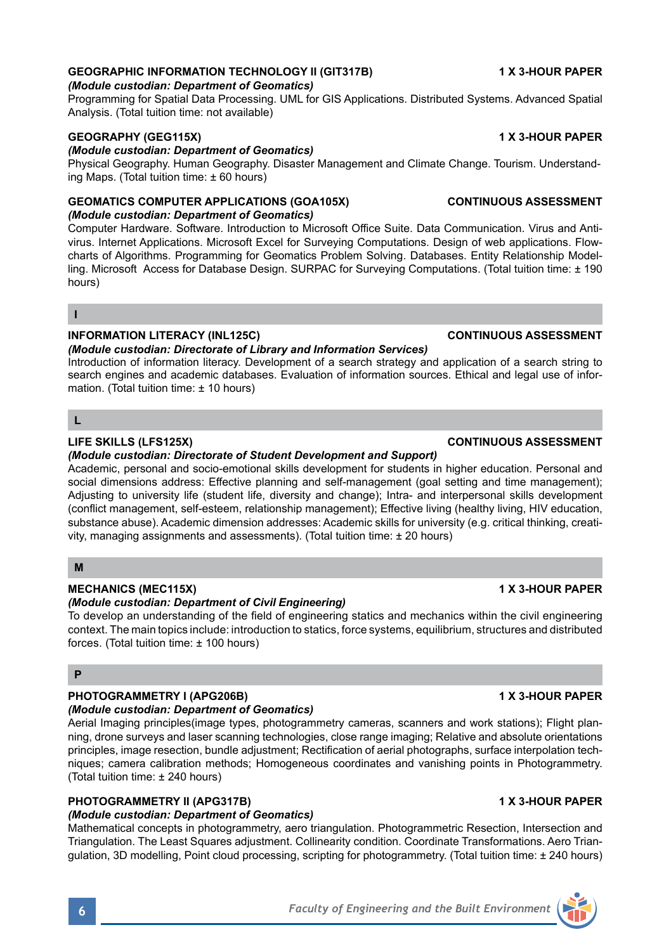# **GEOGRAPHIC INFORMATION TECHNOLOGY II (GIT317B) 1 X 3-HOUR PAPER**

# *(Module custodian: Department of Geomatics)*

Programming for Spatial Data Processing. UML for GIS Applications. Distributed Systems. Advanced Spatial Analysis. (Total tuition time: not available)

# **GEOGRAPHY (GEG115X) 1 X 3-HOUR PAPER**

*(Module custodian: Department of Geomatics)*

Physical Geography. Human Geography. Disaster Management and Climate Change. Tourism. Understanding Maps. (Total tuition time: ± 60 hours)

### **GEOMATICS COMPUTER APPLICATIONS (GOA105X) CONTINUOUS ASSESSMENT** *(Module custodian: Department of Geomatics)*

Computer Hardware. Software. Introduction to Microsoft Office Suite. Data Communication. Virus and Antivirus. Internet Applications. Microsoft Excel for Surveying Computations. Design of web applications. Flowcharts of Algorithms. Programming for Geomatics Problem Solving. Databases. Entity Relationship Modelling. Microsoft Access for Database Design. SURPAC for Surveying Computations. (Total tuition time: ± 190) hours)

#### **I**

### **INFORMATION LITERACY (INL125C) CONTINUOUS ASSESSMENT**

#### *(Module custodian: Directorate of Library and Information Services)*

Introduction of information literacy. Development of a search strategy and application of a search string to search engines and academic databases. Evaluation of information sources. Ethical and legal use of information. (Total tuition time: ± 10 hours)

## **L**

### *(Module custodian: Directorate of Student Development and Support)*

Academic, personal and socio-emotional skills development for students in higher education. Personal and social dimensions address: Effective planning and self-management (goal setting and time management); Adjusting to university life (student life, diversity and change); Intra- and interpersonal skills development (conflict management, self-esteem, relationship management); Effective living (healthy living, HIV education, substance abuse). Academic dimension addresses: Academic skills for university (e.g. critical thinking, creativity, managing assignments and assessments). (Total tuition time: ± 20 hours)

# **M**

### **MECHANICS (MEC115X) 1 X 3-HOUR PAPER**

### *(Module custodian: Department of Civil Engineering)*

To develop an understanding of the field of engineering statics and mechanics within the civil engineering context. The main topics include: introduction to statics, force systems, equilibrium, structures and distributed forces. (Total tuition time: ± 100 hours)

# **P**

# **PHOTOGRAMMETRY I (APG206B) 1 X 3-HOUR PAPER**

# *(Module custodian: Department of Geomatics)*

Aerial Imaging principles(image types, photogrammetry cameras, scanners and work stations); Flight planning, drone surveys and laser scanning technologies, close range imaging; Relative and absolute orientations principles, image resection, bundle adjustment; Rectification of aerial photographs, surface interpolation techniques; camera calibration methods; Homogeneous coordinates and vanishing points in Photogrammetry. (Total tuition time: ± 240 hours)

# **PHOTOGRAMMETRY II (APG317B) 1 X 3-HOUR PAPER**

# *(Module custodian: Department of Geomatics)*

Mathematical concepts in photogrammetry, aero triangulation. Photogrammetric Resection, Intersection and Triangulation. The Least Squares adjustment. Collinearity condition. Coordinate Transformations. Aero Triangulation, 3D modelling, Point cloud processing, scripting for photogrammetry. (Total tuition time: ± 240 hours)

# **LIFE SKILLS (LFS125X) CONTINUOUS ASSESSMENT**